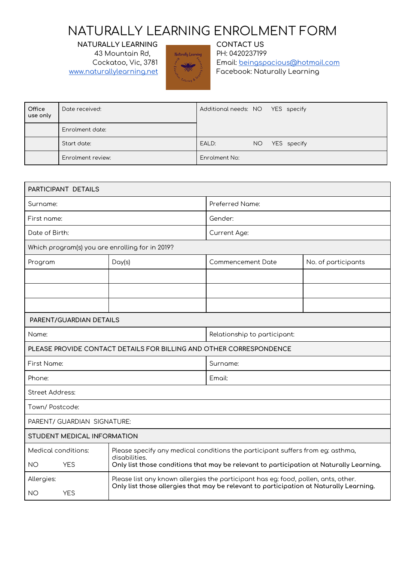# NATURALLY LEARNING ENROLMENT FORM

**NATURALLY LEARNING CONTACT US**



43 Mountain Rd, Naturally Learning PH: 0420237199 Cockatoo, Vic, 3781 Email: [beingspacious@hotmail.com](mailto:beingspacious@hotmail.com) [www.naturallylearning.net](http://www.naturallylearning.net/)  $\begin{array}{cc} \begin{array}{ccc} \end{array} & \end{array}$  Facebook: Naturally Learning

| Office<br>use only | Date received:    | Additional needs: NO YES specify |     |             |
|--------------------|-------------------|----------------------------------|-----|-------------|
|                    | Enrolment date:   |                                  |     |             |
|                    | Start date:       | EALD:                            | NO. | YES specify |
|                    | Enrolment review: | Enrolment No:                    |     |             |

| PARTICIPANT DETAILS                             |                                                                                                                                                                              |                              |                     |  |  |
|-------------------------------------------------|------------------------------------------------------------------------------------------------------------------------------------------------------------------------------|------------------------------|---------------------|--|--|
| Surname:                                        |                                                                                                                                                                              | Preferred Name:              |                     |  |  |
| First name:                                     |                                                                                                                                                                              | Gender:                      |                     |  |  |
| Date of Birth:                                  |                                                                                                                                                                              | Current Age:                 |                     |  |  |
| Which program(s) you are enrolling for in 2019? |                                                                                                                                                                              |                              |                     |  |  |
| Program                                         | Day(s)                                                                                                                                                                       | Commencement Date            | No. of participants |  |  |
|                                                 |                                                                                                                                                                              |                              |                     |  |  |
|                                                 |                                                                                                                                                                              |                              |                     |  |  |
|                                                 |                                                                                                                                                                              |                              |                     |  |  |
| PARENT/GUARDIAN DETAILS                         |                                                                                                                                                                              |                              |                     |  |  |
| Name:                                           |                                                                                                                                                                              | Relationship to participant: |                     |  |  |
|                                                 | PLEASE PROVIDE CONTACT DETAILS FOR BILLING AND OTHER CORRESPONDENCE                                                                                                          |                              |                     |  |  |
| First Name:<br>Surname:                         |                                                                                                                                                                              |                              |                     |  |  |
| Phone:                                          |                                                                                                                                                                              | Emoil:                       |                     |  |  |
| Street Address:                                 |                                                                                                                                                                              |                              |                     |  |  |
| Town/ Postcode:                                 |                                                                                                                                                                              |                              |                     |  |  |
| PARENT/ GUARDIAN SIGNATURE:                     |                                                                                                                                                                              |                              |                     |  |  |
| STUDENT MEDICAL INFORMATION                     |                                                                                                                                                                              |                              |                     |  |  |
| Medical conditions:                             | Please specify any medical conditions the participant suffers from eg: asthma,<br>disabilities.                                                                              |                              |                     |  |  |
| <b>YES</b><br><b>NO</b>                         | Only list those conditions that may be relevant to participation at Naturally Learning.                                                                                      |                              |                     |  |  |
| Allergies:<br><b>YES</b><br><b>NO</b>           | Please list any known allergies the participant has eg: food, pollen, ants, other.<br>Only list those allergies that may be relevant to participation at Naturally Learning. |                              |                     |  |  |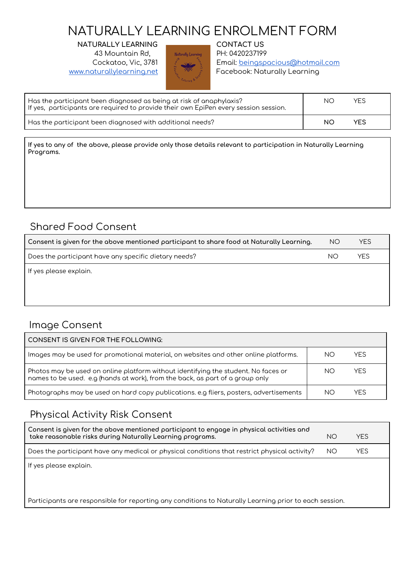# NATURALLY LEARNING ENROLMENT FORM

**NATURALLY LEARNING CONTACT US** 43 Mountain Rd, Naturally Learning PH: 0420237199



Cockatoo, Vic, 3781 Email: [beingspacious@hotmail.com](mailto:beingspacious@hotmail.com) [www.naturallylearning.net](http://www.naturallylearning.net/)  $\begin{array}{c} \hline \end{array}$  Facebook: Naturally Learning

| Has the participant been diagnosed as being at risk of anaphylaxis?<br>If yes, participants are required to provide their own EpiPen every session session. | ΝC | <b>YES</b> |
|-------------------------------------------------------------------------------------------------------------------------------------------------------------|----|------------|
| Has the participant been diagnosed with additional needs?                                                                                                   | NO | YES        |

If yes to any of the above, please provide only those details relevant to participation in Naturally Learning **Programs.**

### Shared Food Consent

| Consent is given for the above mentioned participant to share food at Naturally Learning. | <b>NO</b> | YES. |
|-------------------------------------------------------------------------------------------|-----------|------|
| Does the participant have any specific dietary needs?                                     | NΟ        | YES  |
| If yes please explain.                                                                    |           |      |

#### Image Consent

| <b>CONSENT IS GIVEN FOR THE FOLLOWING:</b>                                                                                                                          |    |            |
|---------------------------------------------------------------------------------------------------------------------------------------------------------------------|----|------------|
| Images may be used for promotional material, on websites and other online platforms.                                                                                | NΟ | <b>YFS</b> |
| Photos may be used on online platform without identifying the student. No faces or<br>names to be used. e.g (hands at work), from the back, as part of a group only | NΟ | <b>YFS</b> |
| Photographs may be used on hard copy publications. e.g fliers, posters, advertisements                                                                              | NΟ | YFS        |

#### Physical Activity Risk Consent

| Consent is given for the above mentioned participant to engage in physical activities and<br>take reasonable risks during Naturally Learning programs. | NO  | <b>YFS</b> |
|--------------------------------------------------------------------------------------------------------------------------------------------------------|-----|------------|
| Does the participant have any medical or physical conditions that restrict physical activity?                                                          | NO. | <b>YES</b> |
| If yes please explain.                                                                                                                                 |     |            |

Participants are responsible for reporting any conditions to Naturally Learning prior to each session.